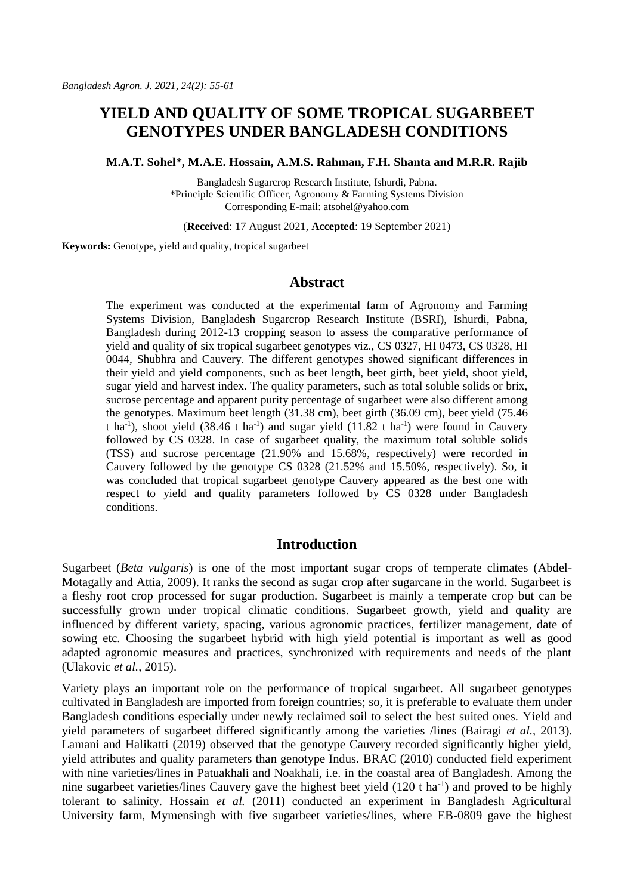# **YIELD AND QUALITY OF SOME TROPICAL SUGARBEET GENOTYPES UNDER BANGLADESH CONDITIONS**

**M.A.T. Sohel**\***, M.A.E. Hossain, A.M.S. Rahman, F.H. Shanta and M.R.R. Rajib**

Bangladesh Sugarcrop Research Institute, Ishurdi, Pabna. \*Principle Scientific Officer, Agronomy & Farming Systems Division Corresponding E-mail[: atsohel@yahoo.com](mailto:atsohel@yahoo.com)

(**Received**: 17 August 2021, **Accepted**: 19 September 2021)

**Keywords:** Genotype, yield and quality, tropical sugarbeet

### **Abstract**

The experiment was conducted at the experimental farm of Agronomy and Farming Systems Division, Bangladesh Sugarcrop Research Institute (BSRI), Ishurdi, Pabna, Bangladesh during 2012-13 cropping season to assess the comparative performance of yield and quality of six tropical sugarbeet genotypes viz., CS 0327, HI 0473, CS 0328, HI 0044, Shubhra and Cauvery. The different genotypes showed significant differences in their yield and yield components, such as beet length, beet girth, beet yield, shoot yield, sugar yield and harvest index. The quality parameters, such as total soluble solids or brix, sucrose percentage and apparent purity percentage of sugarbeet were also different among the genotypes. Maximum beet length (31.38 cm), beet girth (36.09 cm), beet yield (75.46 t ha<sup>-1</sup>), shoot yield (38.46 t ha<sup>-1</sup>) and sugar yield (11.82 t ha<sup>-1</sup>) were found in Cauvery followed by CS 0328. In case of sugarbeet quality, the maximum total soluble solids (TSS) and sucrose percentage (21.90% and 15.68%, respectively) were recorded in Cauvery followed by the genotype CS 0328 (21.52% and 15.50%, respectively). So, it was concluded that tropical sugarbeet genotype Cauvery appeared as the best one with respect to yield and quality parameters followed by CS 0328 under Bangladesh conditions.

### **Introduction**

Sugarbeet (*Beta vulgaris*) is one of the most important sugar crops of temperate climates (Abdel-Motagally and Attia, 2009). It ranks the second as sugar crop after sugarcane in the world. Sugarbeet is a fleshy root crop processed for sugar production. Sugarbeet is mainly a temperate crop but can be successfully grown under tropical climatic conditions. Sugarbeet growth, yield and quality are influenced by different variety, spacing, various agronomic practices, fertilizer management, date of sowing etc. Choosing the sugarbeet hybrid with high yield potential is important as well as good adapted agronomic measures and practices, synchronized with requirements and needs of the plant (Ulakovic *et al.*, [2015\)](https://www.frontiersin.org/articles/10.3389/fpls.2018.01041/full#B12).

Variety plays an important role on the performance of tropical sugarbeet. All sugarbeet genotypes cultivated in Bangladesh are imported from foreign countries; so, it is preferable to evaluate them under Bangladesh conditions especially under newly reclaimed soil to select the best suited ones. Yield and yield parameters of sugarbeet differed significantly among the varieties /lines (Bairagi *et al.,* 2013). Lamani and Halikatti (2019) observed that the genotype Cauvery recorded significantly higher yield, yield attributes and quality parameters than genotype Indus. BRAC (2010) conducted field experiment with nine varieties/lines in Patuakhali and Noakhali, i.e. in the coastal area of Bangladesh. Among the nine sugarbeet varieties/lines Cauvery gave the highest beet yield (120 t ha-1 ) and proved to be highly tolerant to salinity. Hossain *et al.* (2011) conducted an experiment in Bangladesh Agricultural University farm, Mymensingh with five sugarbeet varieties/lines, where EB-0809 gave the highest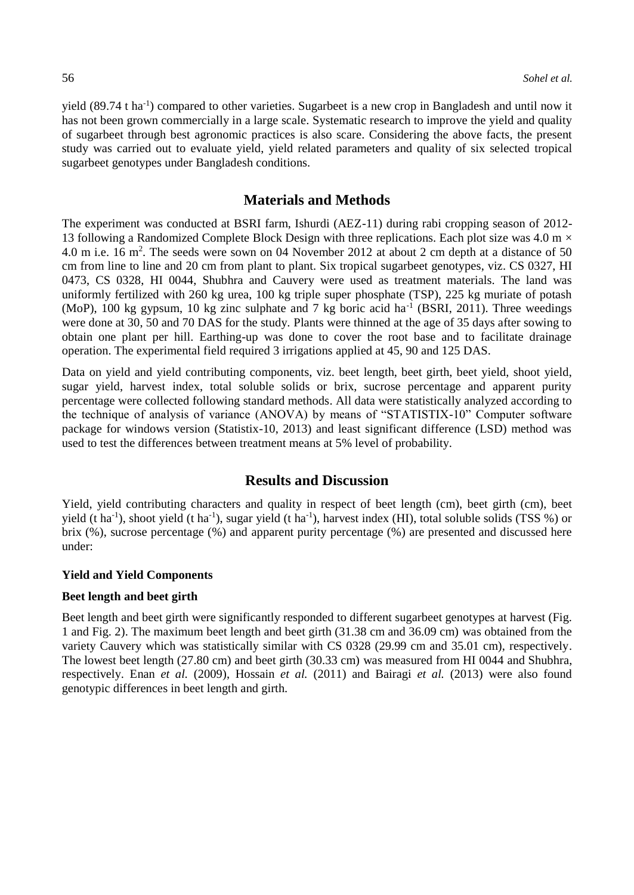yield (89.74 t ha<sup>-1</sup>) compared to other varieties. Sugarbeet is a new crop in Bangladesh and until now it has not been grown commercially in a large scale. Systematic research to improve the yield and quality of sugarbeet through best agronomic practices is also scare. Considering the above facts, the present study was carried out to evaluate yield, yield related parameters and quality of six selected tropical sugarbeet genotypes under Bangladesh conditions.

#### **Materials and Methods**

The experiment was conducted at BSRI farm, Ishurdi (AEZ-11) during rabi cropping season of 2012- 13 following a Randomized Complete Block Design with three replications. Each plot size was 4.0 m  $\times$ 4.0 m i.e. 16 m<sup>2</sup>. The seeds were sown on 04 November 2012 at about 2 cm depth at a distance of 50 cm from line to line and 20 cm from plant to plant. Six tropical sugarbeet genotypes, viz. CS 0327, HI 0473, CS 0328, HI 0044, Shubhra and Cauvery were used as treatment materials. The land was uniformly fertilized with 260 kg urea, 100 kg triple super phosphate (TSP), 225 kg muriate of potash (MoP), 100 kg gypsum, 10 kg zinc sulphate and 7 kg boric acid  $\text{ha}^{-1}$  (BSRI, 2011). Three weedings were done at 30, 50 and 70 DAS for the study. Plants were thinned at the age of 35 days after sowing to obtain one plant per hill. Earthing-up was done to cover the root base and to facilitate drainage operation. The experimental field required 3 irrigations applied at 45, 90 and 125 DAS.

Data on yield and yield contributing components, viz. beet length, beet girth, beet yield, shoot yield, sugar yield, harvest index, total soluble solids or brix, sucrose percentage and apparent purity percentage were collected following standard methods. All data were statistically analyzed according to the technique of analysis of variance (ANOVA) by means of "STATISTIX-10" Computer software package for windows version (Statistix-10, 2013) and least significant difference (LSD) method was used to test the differences between treatment means at 5% level of probability.

# **Results and Discussion**

Yield, yield contributing characters and quality in respect of beet length (cm), beet girth (cm), beet yield (t ha<sup>-1</sup>), shoot yield (t ha<sup>-1</sup>), sugar yield (t ha<sup>-1</sup>), harvest index (HI), total soluble solids (TSS %) or brix (%), sucrose percentage (%) and apparent purity percentage (%) are presented and discussed here under:

#### **Yield and Yield Components**

#### **Beet length and beet girth**

Beet length and beet girth were significantly responded to different sugarbeet genotypes at harvest (Fig. 1 and Fig. 2). The maximum beet length and beet girth (31.38 cm and 36.09 cm) was obtained from the variety Cauvery which was statistically similar with CS 0328 (29.99 cm and 35.01 cm), respectively. The lowest beet length (27.80 cm) and beet girth (30.33 cm) was measured from HI 0044 and Shubhra, respectively. Enan *et al.* (2009), Hossain *et al.* (2011) and Bairagi *et al.* (2013) were also found genotypic differences in beet length and girth.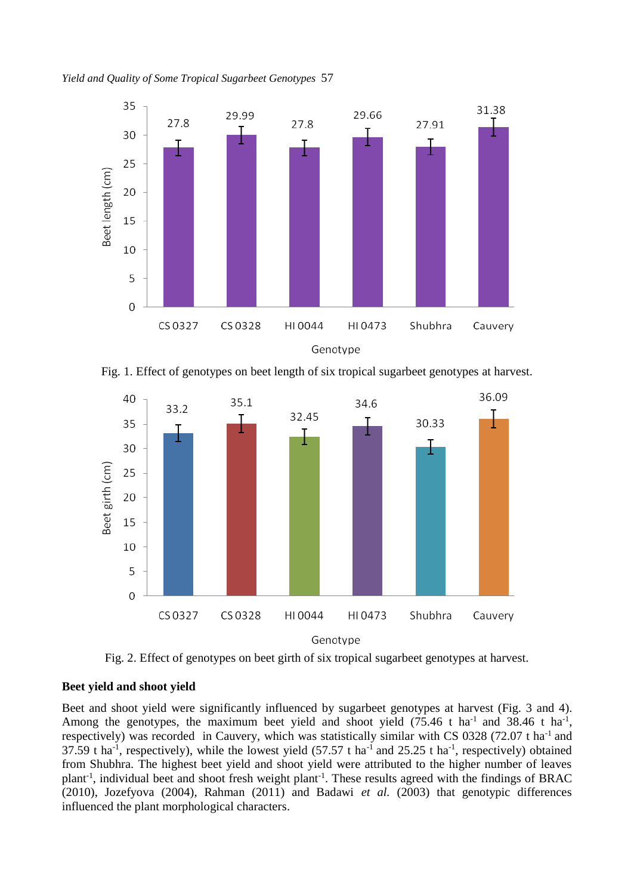*Yield and Quality of Some Tropical Sugarbeet Genotypes* 57



Fig. 1. Effect of genotypes on beet length of six tropical sugarbeet genotypes at harvest.



Fig. 2. Effect of genotypes on beet girth of six tropical sugarbeet genotypes at harvest.

#### **Beet yield and shoot yield**

Beet and shoot yield were significantly influenced by sugarbeet genotypes at harvest (Fig. 3 and 4). Among the genotypes, the maximum beet yield and shoot yield  $(75.46 \text{ t} \text{ ha}^{-1} \text{ and } 38.46 \text{ t} \text{ ha}^{-1}$ , respectively) was recorded in Cauvery, which was statistically similar with CS 0328 (72.07 t ha<sup>-1</sup> and 37.59 t ha<sup>-1</sup>, respectively), while the lowest yield (57.57 t ha<sup>-1</sup> and 25.25 t ha<sup>-1</sup>, respectively) obtained from Shubhra. The highest beet yield and shoot yield were attributed to the higher number of leaves plant<sup>-1</sup>, individual beet and shoot fresh weight plant<sup>-1</sup>. These results agreed with the findings of BRAC (2010), Jozefyova (2004), Rahman (2011) and Badawi *et al.* (2003) that genotypic differences influenced the plant morphological characters.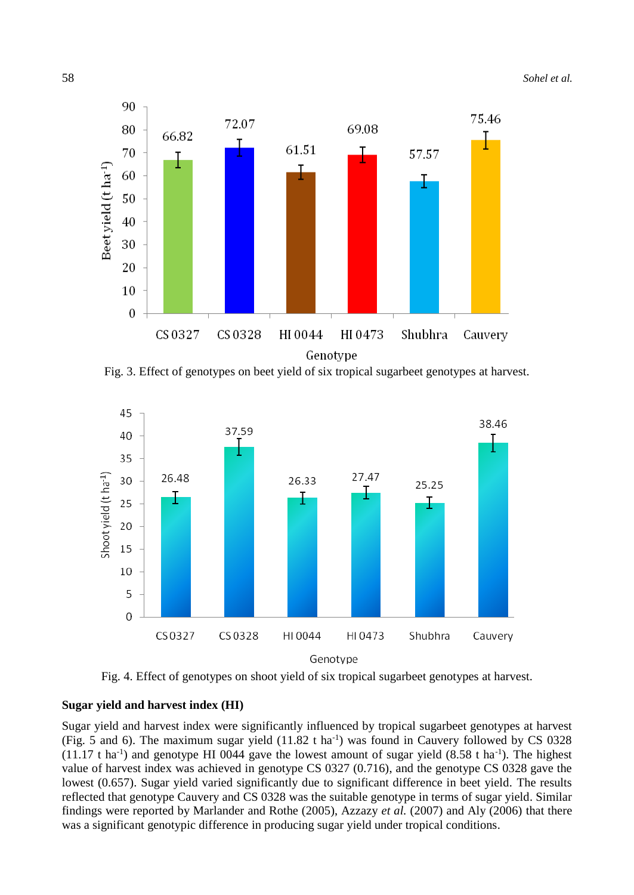

Fig. 3. Effect of genotypes on beet yield of six tropical sugarbeet genotypes at harvest.





### **Sugar yield and harvest index (HI)**

Sugar yield and harvest index were significantly influenced by tropical sugarbeet genotypes at harvest (Fig. 5 and 6). The maximum sugar yield  $(11.82 \text{ t} \text{ ha}^{-1})$  was found in Cauvery followed by CS 0328  $(11.17 \text{ t} \text{ ha}^{-1})$  and genotype HI 0044 gave the lowest amount of sugar yield  $(8.58 \text{ t} \text{ ha}^{-1})$ . The highest value of harvest index was achieved in genotype CS 0327 (0.716), and the genotype CS 0328 gave the lowest (0.657). Sugar yield varied significantly due to significant difference in beet yield. The results reflected that genotype Cauvery and CS 0328 was the suitable genotype in terms of sugar yield. Similar findings were reported by Marlander and Rothe (2005), Azzazy *et al.* (2007) and Aly (2006) that there was a significant genotypic difference in producing sugar yield under tropical conditions.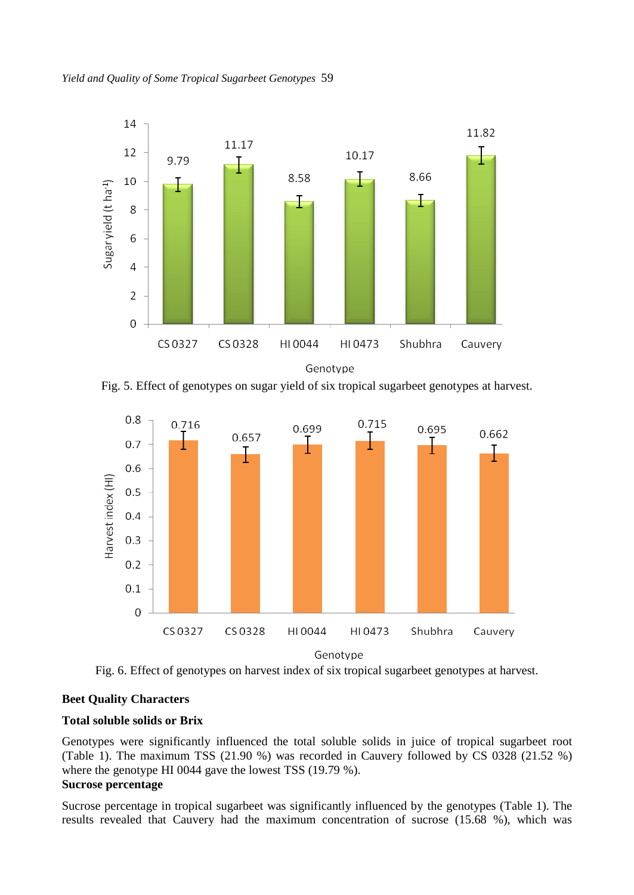

Fig. 5. Effect of genotypes on sugar yield of six tropical sugarbeet genotypes at harvest.



Fig. 6. Effect of genotypes on harvest index of six tropical sugarbeet genotypes at harvest.

### **Beet Quality Characters**

### **Total soluble solids or Brix**

Genotypes were significantly influenced the total soluble solids in juice of tropical sugarbeet root (Table 1). The maximum TSS (21.90 %) was recorded in Cauvery followed by CS 0328 (21.52 %) where the genotype HI 0044 gave the lowest TSS (19.79 %). **Sucrose percentage** 

Sucrose percentage in tropical sugarbeet was significantly influenced by the genotypes (Table 1). The results revealed that Cauvery had the maximum concentration of sucrose (15.68 %), which was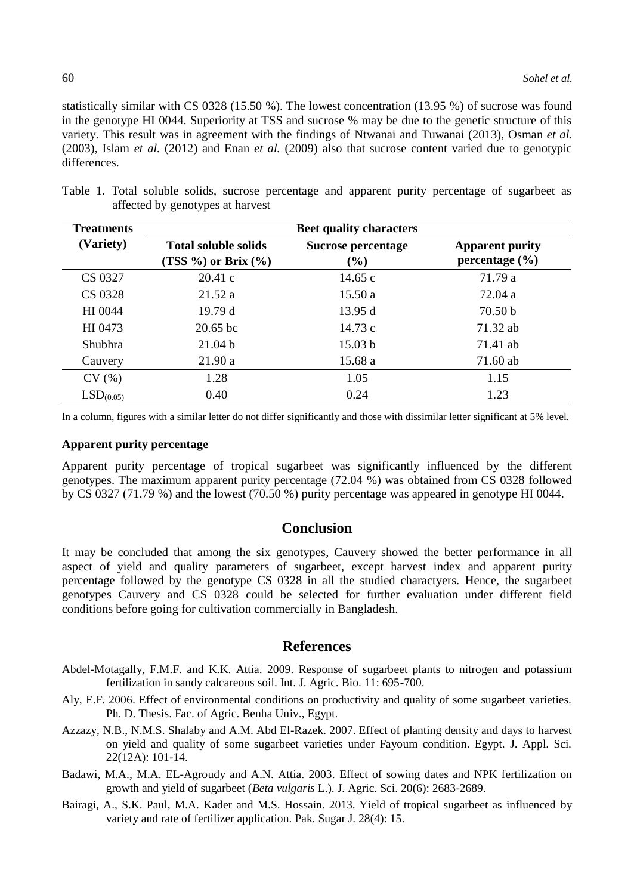statistically similar with CS 0328 (15.50 %). The lowest concentration (13.95 %) of sucrose was found in the genotype HI 0044. Superiority at TSS and sucrose % may be due to the genetic structure of this variety. This result was in agreement with the findings of Ntwanai and Tuwanai (2013), Osman *et al.* (2003), Islam *et al.* (2012) and Enan *et al.* (2009) also that sucrose content varied due to genotypic differences.

| <b>Treatments</b>     | <b>Beet quality characters</b>                             |                              |                                              |
|-----------------------|------------------------------------------------------------|------------------------------|----------------------------------------------|
| (Variety)             | <b>Total soluble solids</b><br>(TSS $\%$ ) or Brix $(\%$ ) | Sucrose percentage<br>$(\%)$ | <b>Apparent purity</b><br>percentage $(\% )$ |
| CS 0327               | 20.41c                                                     | 14.65 $c$                    | 71.79 a                                      |
| CS 0328               | 21.52a                                                     | 15.50a                       | 72.04 a                                      |
| HI 0044               | 19.79d                                                     | 13.95 d                      | 70.50 <sub>b</sub>                           |
| HI 0473               | $20.65$ bc                                                 | 14.73c                       | 71.32 ab                                     |
| <b>Shubhra</b>        | 21.04 <sub>b</sub>                                         | 15.03 <sub>b</sub>           | 71.41 ab                                     |
| Cauvery               | 21.90a                                                     | 15.68 a                      | 71.60 ab                                     |
| CV(%)                 | 1.28                                                       | 1.05                         | 1.15                                         |
| LSD <sub>(0.05)</sub> | 0.40                                                       | 0.24                         | 1.23                                         |

Table 1. Total soluble solids, sucrose percentage and apparent purity percentage of sugarbeet as affected by genotypes at harvest

In a column, figures with a similar letter do not differ significantly and those with dissimilar letter significant at 5% level.

#### **Apparent purity percentage**

Apparent purity percentage of tropical sugarbeet was significantly influenced by the different genotypes. The maximum apparent purity percentage (72.04 %) was obtained from CS 0328 followed by CS 0327 (71.79 %) and the lowest (70.50 %) purity percentage was appeared in genotype HI 0044.

## **Conclusion**

It may be concluded that among the six genotypes, Cauvery showed the better performance in all aspect of yield and quality parameters of sugarbeet, except harvest index and apparent purity percentage followed by the genotype CS 0328 in all the studied charactyers. Hence, the sugarbeet genotypes Cauvery and CS 0328 could be selected for further evaluation under different field conditions before going for cultivation commercially in Bangladesh.

### **References**

- Abdel-Motagally, F.M.F. and K.K. Attia. 2009. Response of sugarbeet plants to nitrogen and potassium fertilization in sandy calcareous soil. Int. J. Agric. Bio. 11: 695-700.
- Aly, E.F. 2006. Effect of environmental conditions on productivity and quality of some sugarbeet varieties. Ph. D. Thesis. Fac. of Agric. Benha Univ., Egypt.
- Azzazy, N.B., N.M.S. Shalaby and A.M. Abd El-Razek. 2007. Effect of planting density and days to harvest on yield and quality of some sugarbeet varieties under Fayoum condition. Egypt. J. Appl. Sci. 22(12A): 101-14.
- Badawi, M.A., M.A. EL-Agroudy and A.N. Attia. 2003. Effect of sowing dates and NPK fertilization on growth and yield of sugarbeet (*Beta vulgaris* L.). J. Agric. Sci. 20(6): 2683-2689.
- Bairagi, A., S.K. Paul, M.A. Kader and M.S. Hossain. 2013. Yield of tropical sugarbeet as influenced by variety and rate of fertilizer application. Pak. Sugar J. 28(4): 15.